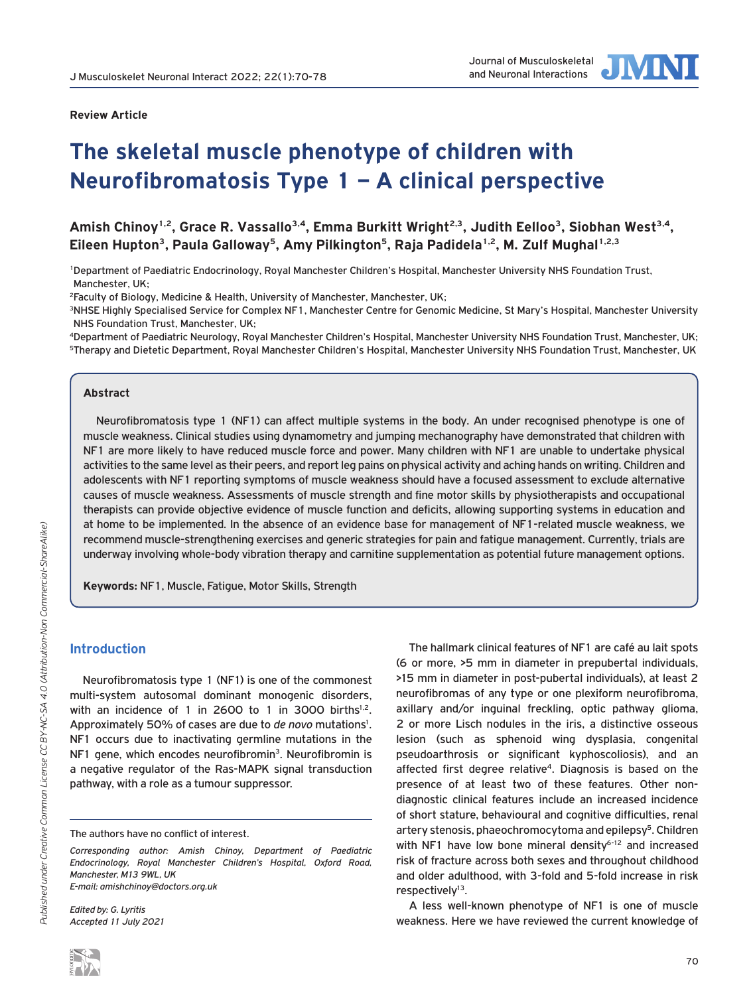

### **Review Article**

# **The skeletal muscle phenotype of children with Neurofibromatosis Type 1 – A clinical perspective**

Amish Chinoy<sup>1,2</sup>, Grace R. Vassallo<sup>3,4</sup>, Emma Burkitt Wright<sup>2,3</sup>, Judith Eelloo<sup>3</sup>, Siobhan West<sup>3,4</sup>, Eileen Hupton<sup>3</sup>, Paula Galloway<sup>5</sup>, Amy Pilkington<sup>5</sup>, Raja Padidela<sup>1,2</sup>, M. Zulf Mughal<sup>1,2,3</sup>

1Department of Paediatric Endocrinology, Royal Manchester Children's Hospital, Manchester University NHS Foundation Trust, Manchester, UK;

2Faculty of Biology, Medicine & Health, University of Manchester, Manchester, UK;

3NHSE Highly Specialised Service for Complex NF1, Manchester Centre for Genomic Medicine, St Mary's Hospital, Manchester University NHS Foundation Trust, Manchester, UK;

4Department of Paediatric Neurology, Royal Manchester Children's Hospital, Manchester University NHS Foundation Trust, Manchester, UK;  $^{\rm 5}$ Therapy and Dietetic Department, Royal Manchester Children's Hospital, Manchester University NHS Foundation Trust, Manchester, UK

### **Abstract**

Neurofibromatosis type 1 (NF1) can affect multiple systems in the body. An under recognised phenotype is one of muscle weakness. Clinical studies using dynamometry and jumping mechanography have demonstrated that children with NF1 are more likely to have reduced muscle force and power. Many children with NF1 are unable to undertake physical activities to the same level as their peers, and report leg pains on physical activity and aching hands on writing. Children and adolescents with NF1 reporting symptoms of muscle weakness should have a focused assessment to exclude alternative causes of muscle weakness. Assessments of muscle strength and fine motor skills by physiotherapists and occupational therapists can provide objective evidence of muscle function and deficits, allowing supporting systems in education and at home to be implemented. In the absence of an evidence base for management of NF1-related muscle weakness, we recommend muscle-strengthening exercises and generic strategies for pain and fatigue management. Currently, trials are underway involving whole-body vibration therapy and carnitine supplementation as potential future management options.

**Keywords:** NF1, Muscle, Fatigue, Motor Skills, Strength

### **Introduction**

Neurofibromatosis type 1 (NF1) is one of the commonest multi-system autosomal dominant monogenic disorders, with an incidence of 1 in 2600 to 1 in 3000 births<sup>1,2</sup>. Approximately 50% of cases are due to *de novo* mutations<sup>1</sup>. NF1 occurs due to inactivating germline mutations in the NF1 gene, which encodes neurofibromin<sup>3</sup>. Neurofibromin is a negative regulator of the Ras-MAPK signal transduction pathway, with a role as a tumour suppressor.

The authors have no conflict of interest.

*Corresponding author: Amish Chinoy, Department of Paediatric Endocrinology, Royal Manchester Children's Hospital, Oxford Road, Manchester, M13 9WL, UK E-mail: amishchinoy@doctors.org.uk*

*Edited by: G. Lyritis Accepted 11 July 2021*

The hallmark clinical features of NF1 are café au lait spots (6 or more, >5 mm in diameter in prepubertal individuals, >15 mm in diameter in post-pubertal individuals), at least 2 neurofibromas of any type or one plexiform neurofibroma, axillary and/or inguinal freckling, optic pathway glioma, 2 or more Lisch nodules in the iris, a distinctive osseous lesion (such as sphenoid wing dysplasia, congenital pseudoarthrosis or significant kyphoscoliosis), and an affected first degree relative<sup>4</sup>. Diagnosis is based on the presence of at least two of these features. Other nondiagnostic clinical features include an increased incidence of short stature, behavioural and cognitive difficulties, renal artery stenosis, phaeochromocytoma and epilepsy<sup>5</sup>. Children with NF1 have low bone mineral density $6-12$  and increased risk of fracture across both sexes and throughout childhood and older adulthood, with 3-fold and 5-fold increase in risk respectively<sup>13</sup>.

A less well-known phenotype of NF1 is one of muscle weakness. Here we have reviewed the current knowledge of

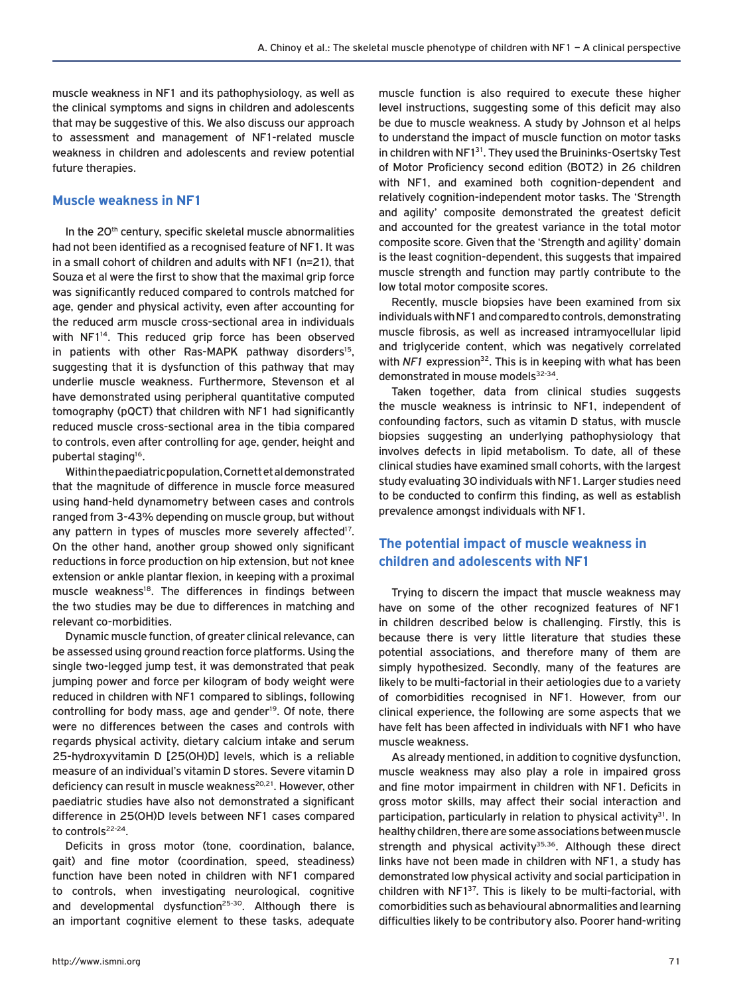muscle weakness in NF1 and its pathophysiology, as well as the clinical symptoms and signs in children and adolescents that may be suggestive of this. We also discuss our approach to assessment and management of NF1-related muscle weakness in children and adolescents and review potential future therapies.

### **Muscle weakness in NF1**

In the 20<sup>th</sup> century, specific skeletal muscle abnormalities had not been identified as a recognised feature of NF1. It was in a small cohort of children and adults with NF1 (n=21), that Souza et al were the first to show that the maximal grip force was significantly reduced compared to controls matched for age, gender and physical activity, even after accounting for the reduced arm muscle cross-sectional area in individuals with NF1<sup>14</sup>. This reduced grip force has been observed in patients with other Ras-MAPK pathway disorders<sup>15</sup>, suggesting that it is dysfunction of this pathway that may underlie muscle weakness. Furthermore, Stevenson et al have demonstrated using peripheral quantitative computed tomography (pQCT) that children with NF1 had significantly reduced muscle cross-sectional area in the tibia compared to controls, even after controlling for age, gender, height and pubertal staging16.

Within the paediatric population, Cornett et al demonstrated that the magnitude of difference in muscle force measured using hand-held dynamometry between cases and controls ranged from 3-43% depending on muscle group, but without any pattern in types of muscles more severely affected<sup>17</sup>. On the other hand, another group showed only significant reductions in force production on hip extension, but not knee extension or ankle plantar flexion, in keeping with a proximal muscle weakness<sup>18</sup>. The differences in findings between the two studies may be due to differences in matching and relevant co-morbidities.

Dynamic muscle function, of greater clinical relevance, can be assessed using ground reaction force platforms. Using the single two-legged jump test, it was demonstrated that peak jumping power and force per kilogram of body weight were reduced in children with NF1 compared to siblings, following controlling for body mass, age and gender<sup>19</sup>. Of note, there were no differences between the cases and controls with regards physical activity, dietary calcium intake and serum 25-hydroxyvitamin D [25(OH)D] levels, which is a reliable measure of an individual's vitamin D stores. Severe vitamin D deficiency can result in muscle weakness<sup>20,21</sup>. However, other paediatric studies have also not demonstrated a significant difference in 25(OH)D levels between NF1 cases compared to controls<sup>22-24</sup>.

Deficits in gross motor (tone, coordination, balance, gait) and fine motor (coordination, speed, steadiness) function have been noted in children with NF1 compared to controls, when investigating neurological, cognitive and developmental dysfunction<sup>25-30</sup>. Although there is an important cognitive element to these tasks, adequate muscle function is also required to execute these higher level instructions, suggesting some of this deficit may also be due to muscle weakness. A study by Johnson et al helps to understand the impact of muscle function on motor tasks in children with NF1<sup>31</sup>. They used the Bruininks-Osertsky Test of Motor Proficiency second edition (BOT2) in 26 children with NF1, and examined both cognition-dependent and relatively cognition-independent motor tasks. The 'Strength and agility' composite demonstrated the greatest deficit and accounted for the greatest variance in the total motor composite score. Given that the 'Strength and agility' domain is the least cognition-dependent, this suggests that impaired muscle strength and function may partly contribute to the low total motor composite scores.

Recently, muscle biopsies have been examined from six individuals with NF1 and compared to controls, demonstrating muscle fibrosis, as well as increased intramyocellular lipid and triglyceride content, which was negatively correlated with *NF1* expression<sup>32</sup>. This is in keeping with what has been demonstrated in mouse models<sup>32-34</sup>.

Taken together, data from clinical studies suggests the muscle weakness is intrinsic to NF1, independent of confounding factors, such as vitamin D status, with muscle biopsies suggesting an underlying pathophysiology that involves defects in lipid metabolism. To date, all of these clinical studies have examined small cohorts, with the largest study evaluating 30 individuals with NF1. Larger studies need to be conducted to confirm this finding, as well as establish prevalence amongst individuals with NF1.

# **The potential impact of muscle weakness in children and adolescents with NF1**

Trying to discern the impact that muscle weakness may have on some of the other recognized features of NF1 in children described below is challenging. Firstly, this is because there is very little literature that studies these potential associations, and therefore many of them are simply hypothesized. Secondly, many of the features are likely to be multi-factorial in their aetiologies due to a variety of comorbidities recognised in NF1. However, from our clinical experience, the following are some aspects that we have felt has been affected in individuals with NF1 who have muscle weakness.

As already mentioned, in addition to cognitive dysfunction, muscle weakness may also play a role in impaired gross and fine motor impairment in children with NF1. Deficits in gross motor skills, may affect their social interaction and participation, particularly in relation to physical activity $31$ . In healthy children, there are some associations between muscle strength and physical activity<sup>35,36</sup>. Although these direct links have not been made in children with NF1, a study has demonstrated low physical activity and social participation in children with NF137. This is likely to be multi-factorial, with comorbidities such as behavioural abnormalities and learning difficulties likely to be contributory also. Poorer hand-writing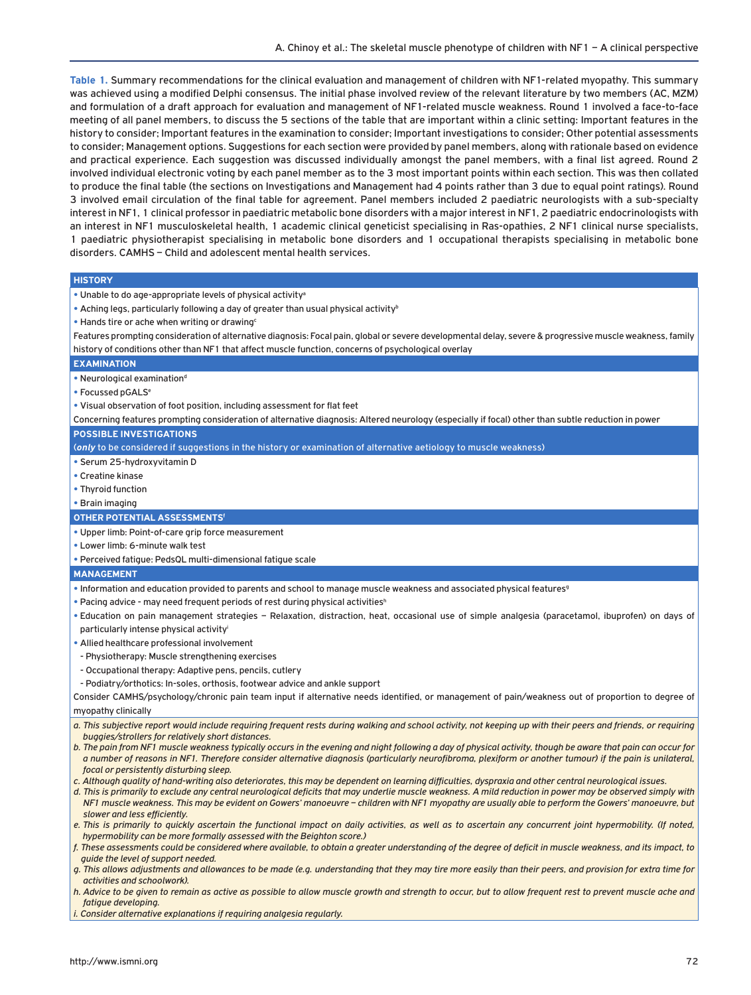**Table 1.** Summary recommendations for the clinical evaluation and management of children with NF1-related myopathy. This summary was achieved using a modified Delphi consensus. The initial phase involved review of the relevant literature by two members (AC, MZM) and formulation of a draft approach for evaluation and management of NF1-related muscle weakness. Round 1 involved a face-to-face meeting of all panel members, to discuss the 5 sections of the table that are important within a clinic setting: Important features in the history to consider; Important features in the examination to consider; Important investigations to consider; Other potential assessments to consider; Management options. Suggestions for each section were provided by panel members, along with rationale based on evidence and practical experience. Each suggestion was discussed individually amongst the panel members, with a final list agreed. Round 2 involved individual electronic voting by each panel member as to the 3 most important points within each section. This was then collated to produce the final table (the sections on Investigations and Management had 4 points rather than 3 due to equal point ratings). Round 3 involved email circulation of the final table for agreement. Panel members included 2 paediatric neurologists with a sub-specialty interest in NF1, 1 clinical professor in paediatric metabolic bone disorders with a major interest in NF1, 2 paediatric endocrinologists with an interest in NF1 musculoskeletal health, 1 academic clinical geneticist specialising in Ras-opathies, 2 NF1 clinical nurse specialists, 1 paediatric physiotherapist specialising in metabolic bone disorders and 1 occupational therapists specialising in metabolic bone disorders. CAMHS – Child and adolescent mental health services.

#### **HISTORY**

- **•** Unable to do age-appropriate levels of physical activitya
- Aching legs, particularly following a day of greater than usual physical activity<sup>b</sup>
- Hands tire or ache when writing or drawing<sup>c</sup>

Features prompting consideration of alternative diagnosis: Focal pain, global or severe developmental delay, severe & progressive muscle weakness, family history of conditions other than NF1 that affect muscle function, concerns of psychological overlay

#### **EXAMINATION**

- Neurological examination<sup>d</sup>
- **•** Focussed pGALS<sup>e</sup>
- **•** Visual observation of foot position, including assessment for flat feet

Concerning features prompting consideration of alternative diagnosis: Altered neurology (especially if focal) other than subtle reduction in power

#### **POSSIBLE INVESTIGATIONS**

(*only* to be considered if suggestions in the history or examination of alternative aetiology to muscle weakness)

- **•** Serum 25-hydroxyvitamin D
- **•** Creatine kinase
- **•** Thyroid function
- **•** Brain imaging

#### **OTHER POTENTIAL ASSESSMENTS<sup>f</sup>**

- **•** Upper limb: Point-of-care grip force measurement
- **•** Lower limb: 6-minute walk test

**•** Perceived fatigue: PedsQL multi-dimensional fatigue scale

#### **MANAGEMENT**

- Information and education provided to parents and school to manage muscle weakness and associated physical features<sup>9</sup>
- Pacing advice may need frequent periods of rest during physical activities<sup>h</sup>
- **•** Education on pain management strategies Relaxation, distraction, heat, occasional use of simple analgesia (paracetamol, ibuprofen) on days of particularly intense physical activityi
- **•** Allied healthcare professional involvement
- Physiotherapy: Muscle strengthening exercises
- Occupational therapy: Adaptive pens, pencils, cutlery
- Podiatry/orthotics: In-soles, orthosis, footwear advice and ankle support

Consider CAMHS/psychology/chronic pain team input if alternative needs identified, or management of pain/weakness out of proportion to degree of myopathy clinically

- *a. This subjective report would include requiring frequent rests during walking and school activity, not keeping up with their peers and friends, or requiring buggies/strollers for relatively short distances.*
- *b. The pain from NF1 muscle weakness typically occurs in the evening and night following a day of physical activity, though be aware that pain can occur for a number of reasons in NF1. Therefore consider alternative diagnosis (particularly neurofibroma, plexiform or another tumour) if the pain is unilateral, focal or persistently disturbing sleep.*
- *c. Although quality of hand-writing also deteriorates, this may be dependent on learning difficulties, dyspraxia and other central neurological issues.*
- *d. This is primarily to exclude any central neurological deficits that may underlie muscle weakness. A mild reduction in power may be observed simply with NF1 muscle weakness. This may be evident on Gowers' manoeuvre – children with NF1 myopathy are usually able to perform the Gowers' manoeuvre, but slower and less efficiently.*
- *e. This is primarily to quickly ascertain the functional impact on daily activities, as well as to ascertain any concurrent joint hypermobility. (If noted, hypermobility can be more formally assessed with the Beighton score.)*

*f. These assessments could be considered where available, to obtain a greater understanding of the degree of deficit in muscle weakness, and its impact, to guide the level of support needed.*

*g. This allows adjustments and allowances to be made (e.g. understanding that they may tire more easily than their peers, and provision for extra time for activities and schoolwork).*

*h. Advice to be given to remain as active as possible to allow muscle growth and strength to occur, but to allow frequent rest to prevent muscle ache and fatigue developing.* 

*i. Consider alternative explanations if requiring analgesia regularly.*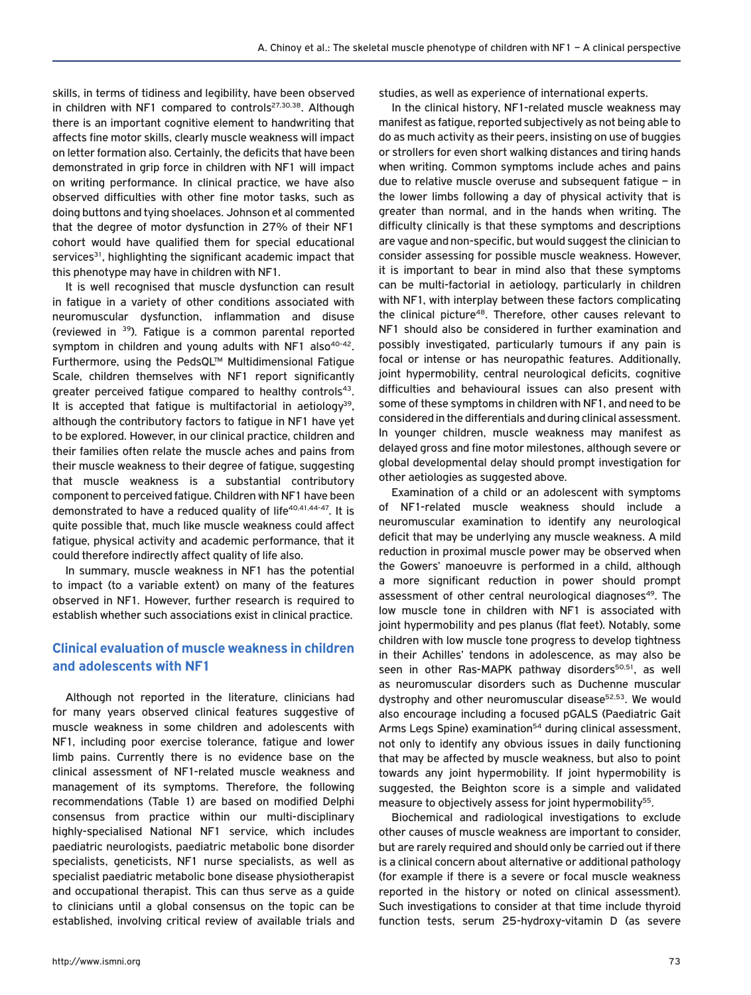skills, in terms of tidiness and legibility, have been observed in children with NF1 compared to controls<sup>27,30,38</sup>. Although there is an important cognitive element to handwriting that affects fine motor skills, clearly muscle weakness will impact on letter formation also. Certainly, the deficits that have been demonstrated in grip force in children with NF1 will impact on writing performance. In clinical practice, we have also observed difficulties with other fine motor tasks, such as doing buttons and tying shoelaces. Johnson et al commented that the degree of motor dysfunction in 27% of their NF1 cohort would have qualified them for special educational services<sup>31</sup>, highlighting the significant academic impact that this phenotype may have in children with NF1.

It is well recognised that muscle dysfunction can result in fatigue in a variety of other conditions associated with neuromuscular dysfunction, inflammation and disuse (reviewed in 39). Fatigue is a common parental reported symptom in children and young adults with NF1 also $40-42$ . Furthermore, using the PedsQL™ Multidimensional Fatigue Scale, children themselves with NF1 report significantly greater perceived fatigue compared to healthy controls<sup>43</sup>. It is accepted that fatigue is multifactorial in aetiology<sup>39</sup>, although the contributory factors to fatigue in NF1 have yet to be explored. However, in our clinical practice, children and their families often relate the muscle aches and pains from their muscle weakness to their degree of fatigue, suggesting that muscle weakness is a substantial contributory component to perceived fatigue. Children with NF1 have been demonstrated to have a reduced quality of life<sup>40,41,44-47</sup>. It is quite possible that, much like muscle weakness could affect fatigue, physical activity and academic performance, that it could therefore indirectly affect quality of life also.

In summary, muscle weakness in NF1 has the potential to impact (to a variable extent) on many of the features observed in NF1. However, further research is required to establish whether such associations exist in clinical practice.

# **Clinical evaluation of muscle weakness in children and adolescents with NF1**

Although not reported in the literature, clinicians had for many years observed clinical features suggestive of muscle weakness in some children and adolescents with NF1, including poor exercise tolerance, fatigue and lower limb pains. Currently there is no evidence base on the clinical assessment of NF1-related muscle weakness and management of its symptoms. Therefore, the following recommendations (Table 1) are based on modified Delphi consensus from practice within our multi-disciplinary highly-specialised National NF1 service, which includes paediatric neurologists, paediatric metabolic bone disorder specialists, geneticists, NF1 nurse specialists, as well as specialist paediatric metabolic bone disease physiotherapist and occupational therapist. This can thus serve as a guide to clinicians until a global consensus on the topic can be established, involving critical review of available trials and studies, as well as experience of international experts.

In the clinical history, NF1-related muscle weakness may manifest as fatigue, reported subjectively as not being able to do as much activity as their peers, insisting on use of buggies or strollers for even short walking distances and tiring hands when writing. Common symptoms include aches and pains due to relative muscle overuse and subsequent fatigue – in the lower limbs following a day of physical activity that is greater than normal, and in the hands when writing. The difficulty clinically is that these symptoms and descriptions are vague and non-specific, but would suggest the clinician to consider assessing for possible muscle weakness. However, it is important to bear in mind also that these symptoms can be multi-factorial in aetiology, particularly in children with NF1, with interplay between these factors complicating the clinical picture48. Therefore, other causes relevant to NF1 should also be considered in further examination and possibly investigated, particularly tumours if any pain is focal or intense or has neuropathic features. Additionally, joint hypermobility, central neurological deficits, cognitive difficulties and behavioural issues can also present with some of these symptoms in children with NF1, and need to be considered in the differentials and during clinical assessment. In younger children, muscle weakness may manifest as delayed gross and fine motor milestones, although severe or global developmental delay should prompt investigation for other aetiologies as suggested above.

Examination of a child or an adolescent with symptoms of NF1-related muscle weakness should include a neuromuscular examination to identify any neurological deficit that may be underlying any muscle weakness. A mild reduction in proximal muscle power may be observed when the Gowers' manoeuvre is performed in a child, although a more significant reduction in power should prompt assessment of other central neurological diagnoses<sup>49</sup>. The low muscle tone in children with NF1 is associated with joint hypermobility and pes planus (flat feet). Notably, some children with low muscle tone progress to develop tightness in their Achilles' tendons in adolescence, as may also be seen in other Ras-MAPK pathway disorders<sup>50,51</sup>, as well as neuromuscular disorders such as Duchenne muscular dystrophy and other neuromuscular disease<sup>52,53</sup>. We would also encourage including a focused pGALS (Paediatric Gait Arms Legs Spine) examination<sup>54</sup> during clinical assessment, not only to identify any obvious issues in daily functioning that may be affected by muscle weakness, but also to point towards any joint hypermobility. If joint hypermobility is suggested, the Beighton score is a simple and validated measure to objectively assess for joint hypermobility<sup>55</sup>.

Biochemical and radiological investigations to exclude other causes of muscle weakness are important to consider, but are rarely required and should only be carried out if there is a clinical concern about alternative or additional pathology (for example if there is a severe or focal muscle weakness reported in the history or noted on clinical assessment). Such investigations to consider at that time include thyroid function tests, serum 25-hydroxy-vitamin D (as severe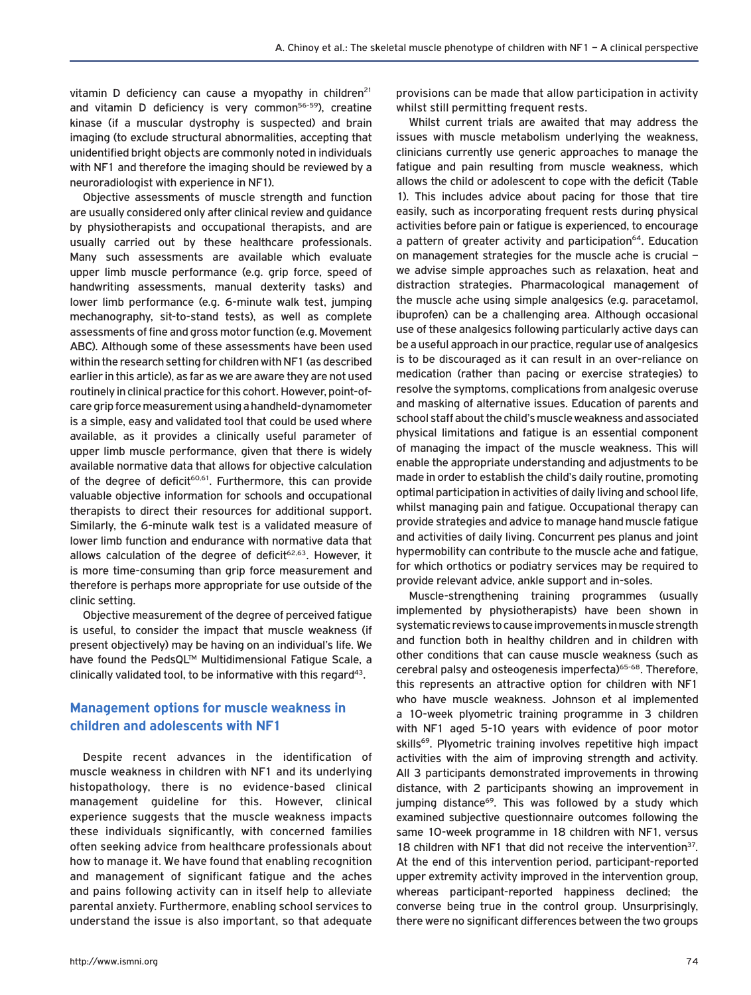vitamin D deficiency can cause a myopathy in children $21$ and vitamin D deficiency is very common $56-59$ ), creatine kinase (if a muscular dystrophy is suspected) and brain imaging (to exclude structural abnormalities, accepting that unidentified bright objects are commonly noted in individuals with NF1 and therefore the imaging should be reviewed by a neuroradiologist with experience in NF1).

Objective assessments of muscle strength and function are usually considered only after clinical review and guidance by physiotherapists and occupational therapists, and are usually carried out by these healthcare professionals. Many such assessments are available which evaluate upper limb muscle performance (e.g. grip force, speed of handwriting assessments, manual dexterity tasks) and lower limb performance (e.g. 6-minute walk test, jumping mechanography, sit-to-stand tests), as well as complete assessments of fine and gross motor function (e.g. Movement ABC). Although some of these assessments have been used within the research setting for children with NF1 (as described earlier in this article), as far as we are aware they are not used routinely in clinical practice for this cohort. However, point-ofcare grip force measurement using a handheld-dynamometer is a simple, easy and validated tool that could be used where available, as it provides a clinically useful parameter of upper limb muscle performance, given that there is widely available normative data that allows for objective calculation of the degree of deficit<sup>60,61</sup>. Furthermore, this can provide valuable objective information for schools and occupational therapists to direct their resources for additional support. Similarly, the 6-minute walk test is a validated measure of lower limb function and endurance with normative data that allows calculation of the degree of deficit<sup>62,63</sup>. However, it is more time-consuming than grip force measurement and therefore is perhaps more appropriate for use outside of the clinic setting.

Objective measurement of the degree of perceived fatigue is useful, to consider the impact that muscle weakness (if present objectively) may be having on an individual's life. We have found the PedsQL™ Multidimensional Fatigue Scale, a clinically validated tool, to be informative with this regard<sup>43</sup>.

# **Management options for muscle weakness in children and adolescents with NF1**

Despite recent advances in the identification of muscle weakness in children with NF1 and its underlying histopathology, there is no evidence-based clinical management guideline for this. However, clinical experience suggests that the muscle weakness impacts these individuals significantly, with concerned families often seeking advice from healthcare professionals about how to manage it. We have found that enabling recognition and management of significant fatigue and the aches and pains following activity can in itself help to alleviate parental anxiety. Furthermore, enabling school services to understand the issue is also important, so that adequate provisions can be made that allow participation in activity whilst still permitting frequent rests.

Whilst current trials are awaited that may address the issues with muscle metabolism underlying the weakness, clinicians currently use generic approaches to manage the fatigue and pain resulting from muscle weakness, which allows the child or adolescent to cope with the deficit (Table 1). This includes advice about pacing for those that tire easily, such as incorporating frequent rests during physical activities before pain or fatigue is experienced, to encourage a pattern of greater activity and participation<sup>64</sup>. Education on management strategies for the muscle ache is crucial – we advise simple approaches such as relaxation, heat and distraction strategies. Pharmacological management of the muscle ache using simple analgesics (e.g. paracetamol, ibuprofen) can be a challenging area. Although occasional use of these analgesics following particularly active days can be a useful approach in our practice, regular use of analgesics is to be discouraged as it can result in an over-reliance on medication (rather than pacing or exercise strategies) to resolve the symptoms, complications from analgesic overuse and masking of alternative issues. Education of parents and school staff about the child's muscle weakness and associated physical limitations and fatigue is an essential component of managing the impact of the muscle weakness. This will enable the appropriate understanding and adjustments to be made in order to establish the child's daily routine, promoting optimal participation in activities of daily living and school life, whilst managing pain and fatigue. Occupational therapy can provide strategies and advice to manage hand muscle fatigue and activities of daily living. Concurrent pes planus and joint hypermobility can contribute to the muscle ache and fatigue, for which orthotics or podiatry services may be required to provide relevant advice, ankle support and in-soles.

Muscle-strengthening training programmes (usually implemented by physiotherapists) have been shown in systematic reviews to cause improvements in muscle strength and function both in healthy children and in children with other conditions that can cause muscle weakness (such as cerebral palsy and osteogenesis imperfecta)<sup>65-68</sup>. Therefore, this represents an attractive option for children with NF1 who have muscle weakness. Johnson et al implemented a 10-week plyometric training programme in 3 children with NF1 aged 5-10 years with evidence of poor motor skills<sup>69</sup>. Plyometric training involves repetitive high impact activities with the aim of improving strength and activity. All 3 participants demonstrated improvements in throwing distance, with 2 participants showing an improvement in jumping distance<sup>69</sup>. This was followed by a study which examined subjective questionnaire outcomes following the same 10-week programme in 18 children with NF1, versus 18 children with NF1 that did not receive the intervention<sup>37</sup>. At the end of this intervention period, participant-reported upper extremity activity improved in the intervention group, whereas participant-reported happiness declined; the converse being true in the control group. Unsurprisingly, there were no significant differences between the two groups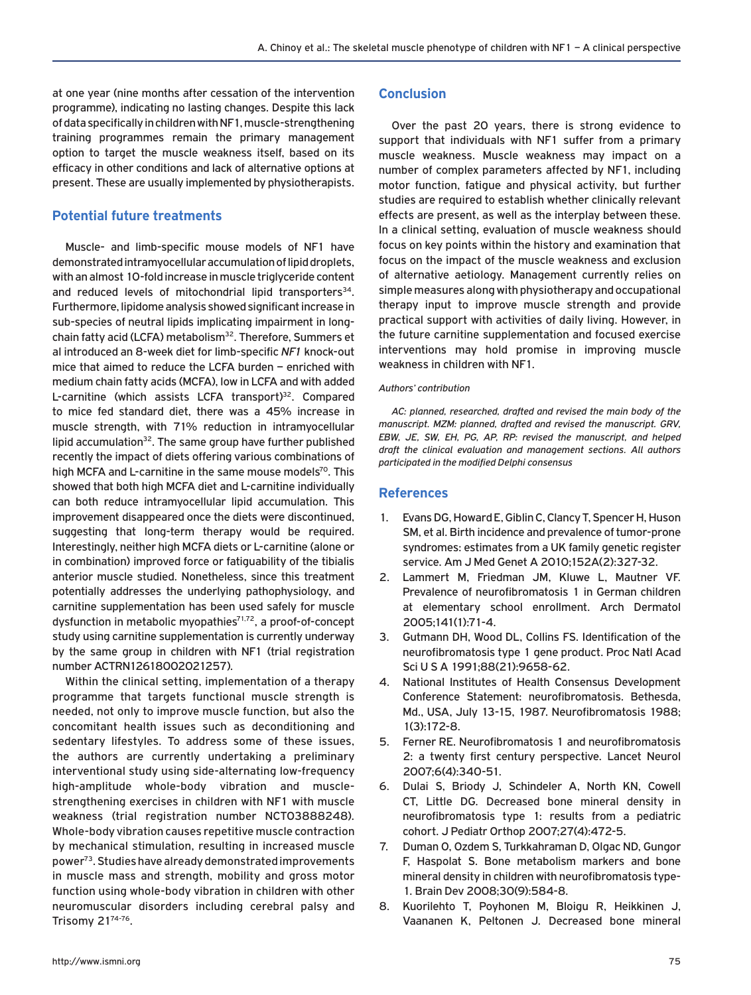at one year (nine months after cessation of the intervention programme), indicating no lasting changes. Despite this lack of data specifically in children with NF1, muscle-strengthening training programmes remain the primary management option to target the muscle weakness itself, based on its efficacy in other conditions and lack of alternative options at present. These are usually implemented by physiotherapists.

## **Potential future treatments**

Muscle- and limb-specific mouse models of NF1 have demonstrated intramyocellular accumulation of lipid droplets, with an almost 10-fold increase in muscle triglyceride content and reduced levels of mitochondrial lipid transporters<sup>34</sup>. Furthermore, lipidome analysis showed significant increase in sub-species of neutral lipids implicating impairment in longchain fatty acid (LCFA) metabolism<sup>32</sup>. Therefore, Summers et al introduced an 8-week diet for limb-specific *NF1* knock-out mice that aimed to reduce the LCFA burden – enriched with medium chain fatty acids (MCFA), low in LCFA and with added L-carnitine (which assists LCFA transport)<sup>32</sup>. Compared to mice fed standard diet, there was a 45% increase in muscle strength, with 71% reduction in intramyocellular lipid accumulation $32$ . The same group have further published recently the impact of diets offering various combinations of high MCFA and L-carnitine in the same mouse models<sup>70</sup>. This showed that both high MCFA diet and L-carnitine individually can both reduce intramyocellular lipid accumulation. This improvement disappeared once the diets were discontinued, suggesting that long-term therapy would be required. Interestingly, neither high MCFA diets or L-carnitine (alone or in combination) improved force or fatiguability of the tibialis anterior muscle studied. Nonetheless, since this treatment potentially addresses the underlying pathophysiology, and carnitine supplementation has been used safely for muscle dysfunction in metabolic myopathies<sup>71,72</sup>, a proof-of-concept study using carnitine supplementation is currently underway by the same group in children with NF1 (trial registration number ACTRN12618002021257).

Within the clinical setting, implementation of a therapy programme that targets functional muscle strength is needed, not only to improve muscle function, but also the concomitant health issues such as deconditioning and sedentary lifestyles. To address some of these issues, the authors are currently undertaking a preliminary interventional study using side-alternating low-frequency high-amplitude whole-body vibration and musclestrengthening exercises in children with NF1 with muscle weakness (trial registration number NCT03888248). Whole-body vibration causes repetitive muscle contraction by mechanical stimulation, resulting in increased muscle power<sup>73</sup>. Studies have already demonstrated improvements in muscle mass and strength, mobility and gross motor function using whole-body vibration in children with other neuromuscular disorders including cerebral palsy and Trisomy 2174-76.

# **Conclusion**

Over the past 20 years, there is strong evidence to support that individuals with NF1 suffer from a primary muscle weakness. Muscle weakness may impact on a number of complex parameters affected by NF1, including motor function, fatigue and physical activity, but further studies are required to establish whether clinically relevant effects are present, as well as the interplay between these. In a clinical setting, evaluation of muscle weakness should focus on key points within the history and examination that focus on the impact of the muscle weakness and exclusion of alternative aetiology. Management currently relies on simple measures along with physiotherapy and occupational therapy input to improve muscle strength and provide practical support with activities of daily living. However, in the future carnitine supplementation and focused exercise interventions may hold promise in improving muscle weakness in children with NF1.

### *Authors' contribution*

*AC: planned, researched, drafted and revised the main body of the manuscript. MZM: planned, drafted and revised the manuscript. GRV, EBW, JE, SW, EH, PG, AP, RP: revised the manuscript, and helped draft the clinical evaluation and management sections. All authors participated in the modified Delphi consensus*

# **References**

- 1. Evans DG, Howard E, Giblin C, Clancy T, Spencer H, Huson SM, et al. Birth incidence and prevalence of tumor-prone syndromes: estimates from a UK family genetic register service. Am J Med Genet A 2010;152A(2):327-32.
- 2. Lammert M, Friedman JM, Kluwe L, Mautner VF. Prevalence of neurofibromatosis 1 in German children at elementary school enrollment. Arch Dermatol 2005;141(1):71-4.
- 3. Gutmann DH, Wood DL, Collins FS. Identification of the neurofibromatosis type 1 gene product. Proc Natl Acad Sci U S A 1991;88(21):9658-62.
- 4. National Institutes of Health Consensus Development Conference Statement: neurofibromatosis. Bethesda, Md., USA, July 13-15, 1987. Neurofibromatosis 1988; 1(3):172-8.
- 5. Ferner RE. Neurofibromatosis 1 and neurofibromatosis 2: a twenty first century perspective. Lancet Neurol 2007;6(4):340-51.
- 6. Dulai S, Briody J, Schindeler A, North KN, Cowell CT, Little DG. Decreased bone mineral density in neurofibromatosis type 1: results from a pediatric cohort. J Pediatr Orthop 2007;27(4):472-5.
- 7. Duman O, Ozdem S, Turkkahraman D, Olgac ND, Gungor F, Haspolat S. Bone metabolism markers and bone mineral density in children with neurofibromatosis type-1. Brain Dev 2008;30(9):584-8.
- 8. Kuorilehto T, Poyhonen M, Bloigu R, Heikkinen J, Vaananen K, Peltonen J. Decreased bone mineral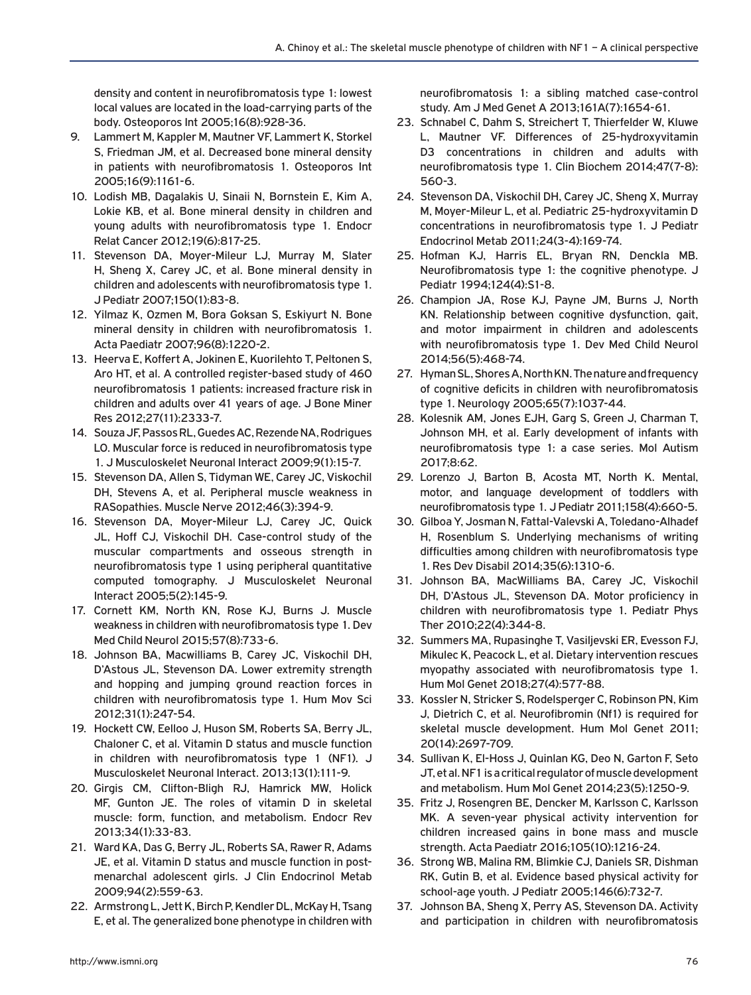density and content in neurofibromatosis type 1: lowest local values are located in the load-carrying parts of the body. Osteoporos Int 2005;16(8):928-36.

- 9. Lammert M, Kappler M, Mautner VF, Lammert K, Storkel S, Friedman JM, et al. Decreased bone mineral density in patients with neurofibromatosis 1. Osteoporos Int 2005;16(9):1161-6.
- 10. Lodish MB, Dagalakis U, Sinaii N, Bornstein E, Kim A, Lokie KB, et al. Bone mineral density in children and young adults with neurofibromatosis type 1. Endocr Relat Cancer 2012;19(6):817-25.
- 11. Stevenson DA, Moyer-Mileur LJ, Murray M, Slater H, Sheng X, Carey JC, et al. Bone mineral density in children and adolescents with neurofibromatosis type 1. J Pediatr 2007;150(1):83-8.
- 12. Yilmaz K, Ozmen M, Bora Goksan S, Eskiyurt N. Bone mineral density in children with neurofibromatosis 1. Acta Paediatr 2007;96(8):1220-2.
- 13. Heerva E, Koffert A, Jokinen E, Kuorilehto T, Peltonen S, Aro HT, et al. A controlled register-based study of 460 neurofibromatosis 1 patients: increased fracture risk in children and adults over 41 years of age. J Bone Miner Res 2012;27(11):2333-7.
- 14. Souza JF, Passos RL, Guedes AC, Rezende NA, Rodrigues LO. Muscular force is reduced in neurofibromatosis type 1. J Musculoskelet Neuronal Interact 2009;9(1):15-7.
- 15. Stevenson DA, Allen S, Tidyman WE, Carey JC, Viskochil DH, Stevens A, et al. Peripheral muscle weakness in RASopathies. Muscle Nerve 2012;46(3):394-9.
- 16. Stevenson DA, Moyer-Mileur LJ, Carey JC, Quick JL, Hoff CJ, Viskochil DH. Case-control study of the muscular compartments and osseous strength in neurofibromatosis type 1 using peripheral quantitative computed tomography. J Musculoskelet Neuronal Interact 2005;5(2):145-9.
- 17. Cornett KM, North KN, Rose KJ, Burns J. Muscle weakness in children with neurofibromatosis type 1. Dev Med Child Neurol 2015;57(8):733-6.
- 18. Johnson BA, Macwilliams B, Carey JC, Viskochil DH, D'Astous JL, Stevenson DA. Lower extremity strength and hopping and jumping ground reaction forces in children with neurofibromatosis type 1. Hum Mov Sci 2012;31(1):247-54.
- 19. Hockett CW, Eelloo J, Huson SM, Roberts SA, Berry JL, Chaloner C, et al. Vitamin D status and muscle function in children with neurofibromatosis type 1 (NF1). J Musculoskelet Neuronal Interact. 2013;13(1):111-9.
- 20. Girgis CM, Clifton-Bligh RJ, Hamrick MW, Holick MF, Gunton JE. The roles of vitamin D in skeletal muscle: form, function, and metabolism. Endocr Rev 2013;34(1):33-83.
- 21. Ward KA, Das G, Berry JL, Roberts SA, Rawer R, Adams JE, et al. Vitamin D status and muscle function in postmenarchal adolescent girls. J Clin Endocrinol Metab 2009;94(2):559-63.
- 22. Armstrong L, Jett K, Birch P, Kendler DL, McKay H, Tsang E, et al. The generalized bone phenotype in children with

neurofibromatosis 1: a sibling matched case-control study. Am J Med Genet A 2013;161A(7):1654-61.

- 23. Schnabel C, Dahm S, Streichert T, Thierfelder W, Kluwe L, Mautner VF. Differences of 25-hydroxyvitamin D3 concentrations in children and adults with neurofibromatosis type 1. Clin Biochem 2014;47(7-8): 560-3.
- 24. Stevenson DA, Viskochil DH, Carey JC, Sheng X, Murray M, Moyer-Mileur L, et al. Pediatric 25-hydroxyvitamin D concentrations in neurofibromatosis type 1. J Pediatr Endocrinol Metab 2011;24(3-4):169-74.
- 25. Hofman KJ, Harris EL, Bryan RN, Denckla MB. Neurofibromatosis type 1: the cognitive phenotype. J Pediatr 1994;124(4):S1-8.
- 26. Champion JA, Rose KJ, Payne JM, Burns J, North KN. Relationship between cognitive dysfunction, gait, and motor impairment in children and adolescents with neurofibromatosis type 1. Dev Med Child Neurol 2014;56(5):468-74.
- 27. Hyman SL, Shores A, North KN. The nature and frequency of cognitive deficits in children with neurofibromatosis type 1. Neurology 2005;65(7):1037-44.
- 28. Kolesnik AM, Jones EJH, Garg S, Green J, Charman T, Johnson MH, et al. Early development of infants with neurofibromatosis type 1: a case series. Mol Autism 2017;8:62.
- 29. Lorenzo J, Barton B, Acosta MT, North K. Mental, motor, and language development of toddlers with neurofibromatosis type 1. J Pediatr 2011;158(4):660-5.
- 30. Gilboa Y, Josman N, Fattal-Valevski A, Toledano-Alhadef H, Rosenblum S. Underlying mechanisms of writing difficulties among children with neurofibromatosis type 1. Res Dev Disabil 2014;35(6):1310-6.
- 31. Johnson BA, MacWilliams BA, Carey JC, Viskochil DH, D'Astous JL, Stevenson DA. Motor proficiency in children with neurofibromatosis type 1. Pediatr Phys Ther 2010;22(4):344-8.
- 32. Summers MA, Rupasinghe T, Vasiljevski ER, Evesson FJ, Mikulec K, Peacock L, et al. Dietary intervention rescues myopathy associated with neurofibromatosis type 1. Hum Mol Genet 2018;27(4):577-88.
- 33. Kossler N, Stricker S, Rodelsperger C, Robinson PN, Kim J, Dietrich C, et al. Neurofibromin (Nf1) is required for skeletal muscle development. Hum Mol Genet 2011; 20(14):2697-709.
- 34. Sullivan K, El-Hoss J, Quinlan KG, Deo N, Garton F, Seto JT, et al. NF1 is a critical regulator of muscle development and metabolism. Hum Mol Genet 2014;23(5):1250-9.
- 35. Fritz J, Rosengren BE, Dencker M, Karlsson C, Karlsson MK. A seven-year physical activity intervention for children increased gains in bone mass and muscle strength. Acta Paediatr 2016;105(10):1216-24.
- 36. Strong WB, Malina RM, Blimkie CJ, Daniels SR, Dishman RK, Gutin B, et al. Evidence based physical activity for school-age youth. J Pediatr 2005;146(6):732-7.
- 37. Johnson BA, Sheng X, Perry AS, Stevenson DA. Activity and participation in children with neurofibromatosis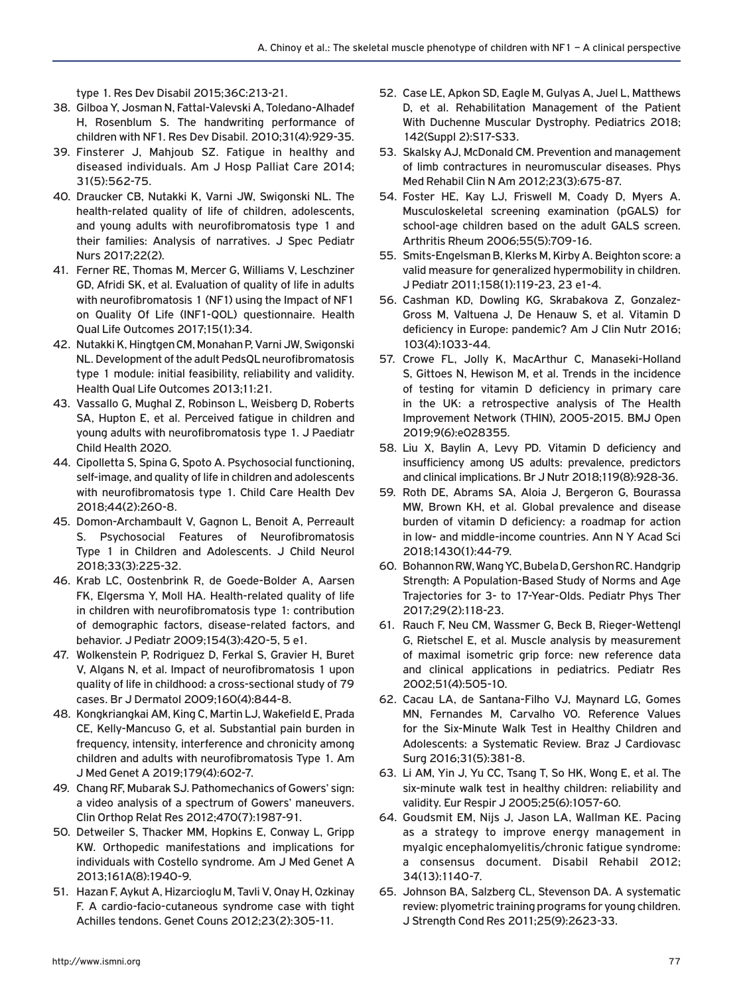type 1. Res Dev Disabil 2015;36C:213-21.

- 38. Gilboa Y, Josman N, Fattal-Valevski A, Toledano-Alhadef H, Rosenblum S. The handwriting performance of children with NF1. Res Dev Disabil. 2010;31(4):929-35.
- 39. Finsterer J, Mahjoub SZ. Fatigue in healthy and diseased individuals. Am J Hosp Palliat Care 2014; 31(5):562-75.
- 40. Draucker CB, Nutakki K, Varni JW, Swigonski NL. The health-related quality of life of children, adolescents, and young adults with neurofibromatosis type 1 and their families: Analysis of narratives. J Spec Pediatr Nurs 2017;22(2).
- 41. Ferner RE, Thomas M, Mercer G, Williams V, Leschziner GD, Afridi SK, et al. Evaluation of quality of life in adults with neurofibromatosis 1 (NF1) using the Impact of NF1 on Quality Of Life (INF1-QOL) questionnaire. Health Qual Life Outcomes 2017;15(1):34.
- 42. Nutakki K, Hingtgen CM, Monahan P, Varni JW, Swigonski NL. Development of the adult PedsQL neurofibromatosis type 1 module: initial feasibility, reliability and validity. Health Qual Life Outcomes 2013;11:21.
- 43. Vassallo G, Mughal Z, Robinson L, Weisberg D, Roberts SA, Hupton E, et al. Perceived fatigue in children and young adults with neurofibromatosis type 1. J Paediatr Child Health 2020.
- 44. Cipolletta S, Spina G, Spoto A. Psychosocial functioning, self-image, and quality of life in children and adolescents with neurofibromatosis type 1. Child Care Health Dev 2018;44(2):260-8.
- 45. Domon-Archambault V, Gagnon L, Benoit A, Perreault S. Psychosocial Features of Neurofibromatosis Type 1 in Children and Adolescents. J Child Neurol 2018;33(3):225-32.
- 46. Krab LC, Oostenbrink R, de Goede-Bolder A, Aarsen FK, Elgersma Y, Moll HA. Health-related quality of life in children with neurofibromatosis type 1: contribution of demographic factors, disease-related factors, and behavior. J Pediatr 2009;154(3):420-5, 5 e1.
- 47. Wolkenstein P, Rodriguez D, Ferkal S, Gravier H, Buret V, Algans N, et al. Impact of neurofibromatosis 1 upon quality of life in childhood: a cross-sectional study of 79 cases. Br J Dermatol 2009;160(4):844-8.
- 48. Kongkriangkai AM, King C, Martin LJ, Wakefield E, Prada CE, Kelly-Mancuso G, et al. Substantial pain burden in frequency, intensity, interference and chronicity among children and adults with neurofibromatosis Type 1. Am J Med Genet A 2019;179(4):602-7.
- 49. Chang RF, Mubarak SJ. Pathomechanics of Gowers' sign: a video analysis of a spectrum of Gowers' maneuvers. Clin Orthop Relat Res 2012;470(7):1987-91.
- 50. Detweiler S, Thacker MM, Hopkins E, Conway L, Gripp KW. Orthopedic manifestations and implications for individuals with Costello syndrome. Am J Med Genet A 2013;161A(8):1940-9.
- 51. Hazan F, Aykut A, Hizarcioglu M, Tavli V, Onay H, Ozkinay F. A cardio-facio-cutaneous syndrome case with tight Achilles tendons. Genet Couns 2012;23(2):305-11.
- 52. Case LE, Apkon SD, Eagle M, Gulyas A, Juel L, Matthews D, et al. Rehabilitation Management of the Patient With Duchenne Muscular Dystrophy. Pediatrics 2018; 142(Suppl 2):S17-S33.
- 53. Skalsky AJ, McDonald CM. Prevention and management of limb contractures in neuromuscular diseases. Phys Med Rehabil Clin N Am 2012;23(3):675-87.
- 54. Foster HE, Kay LJ, Friswell M, Coady D, Myers A. Musculoskeletal screening examination (pGALS) for school-age children based on the adult GALS screen. Arthritis Rheum 2006;55(5):709-16.
- 55. Smits-Engelsman B, Klerks M, Kirby A. Beighton score: a valid measure for generalized hypermobility in children. J Pediatr 2011;158(1):119-23, 23 e1-4.
- 56. Cashman KD, Dowling KG, Skrabakova Z, Gonzalez-Gross M, Valtuena J, De Henauw S, et al. Vitamin D deficiency in Europe: pandemic? Am J Clin Nutr 2016; 103(4):1033-44.
- 57. Crowe FL, Jolly K, MacArthur C, Manaseki-Holland S, Gittoes N, Hewison M, et al. Trends in the incidence of testing for vitamin D deficiency in primary care in the UK: a retrospective analysis of The Health Improvement Network (THIN), 2005-2015. BMJ Open 2019;9(6):e028355.
- 58. Liu X, Baylin A, Levy PD. Vitamin D deficiency and insufficiency among US adults: prevalence, predictors and clinical implications. Br J Nutr 2018;119(8):928-36.
- 59. Roth DE, Abrams SA, Aloia J, Bergeron G, Bourassa MW, Brown KH, et al. Global prevalence and disease burden of vitamin D deficiency: a roadmap for action in low- and middle-income countries. Ann N Y Acad Sci 2018;1430(1):44-79.
- 60. Bohannon RW, Wang YC, Bubela D, Gershon RC. Handgrip Strength: A Population-Based Study of Norms and Age Trajectories for 3- to 17-Year-Olds. Pediatr Phys Ther 2017;29(2):118-23.
- 61. Rauch F, Neu CM, Wassmer G, Beck B, Rieger-Wettengl G, Rietschel E, et al. Muscle analysis by measurement of maximal isometric grip force: new reference data and clinical applications in pediatrics. Pediatr Res 2002;51(4):505-10.
- 62. Cacau LA, de Santana-Filho VJ, Maynard LG, Gomes MN, Fernandes M, Carvalho VO. Reference Values for the Six-Minute Walk Test in Healthy Children and Adolescents: a Systematic Review. Braz J Cardiovasc Surg 2016;31(5):381-8.
- 63. Li AM, Yin J, Yu CC, Tsang T, So HK, Wong E, et al. The six-minute walk test in healthy children: reliability and validity. Eur Respir J 2005;25(6):1057-60.
- 64. Goudsmit EM, Nijs J, Jason LA, Wallman KE. Pacing as a strategy to improve energy management in myalgic encephalomyelitis/chronic fatigue syndrome: a consensus document. Disabil Rehabil 2012; 34(13):1140-7.
- 65. Johnson BA, Salzberg CL, Stevenson DA. A systematic review: plyometric training programs for young children. J Strength Cond Res 2011;25(9):2623-33.